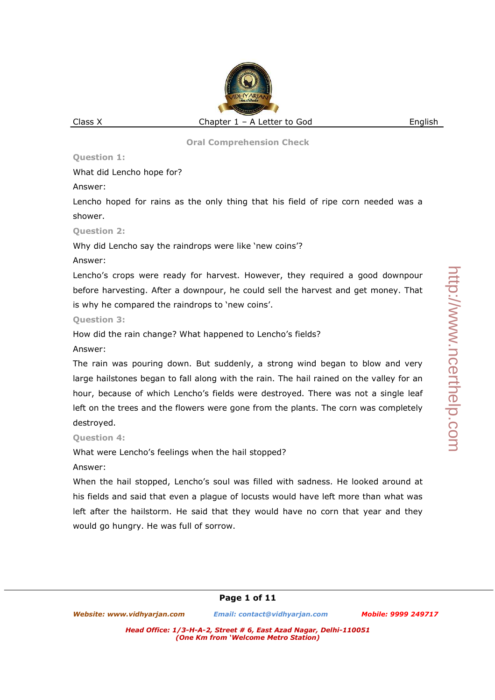What did Lencho hope for?

Answer:

Lencho hoped for rains as the only thing that his field of ripe corn needed was a shower.

## **Question 2:**

Why did Lencho say the raindrops were like 'new coins'?

## Answer:

Lencho's crops were ready for harvest. However, they required a good downpour before harvesting. After a downpour, he could sell the harvest and get money. That is why he compared the raindrops to 'new coins'.

# **Question 3:**

How did the rain change? What happened to Lencho's fields?

# Answer:

The rain was pouring down. But suddenly, a strong wind began to blow and very large hailstones began to fall along with the rain. The hail rained on the valley for an hour, because of which Lencho's fields were destroyed. There was not a single leaf left on the trees and the flowers were gone from the plants. The corn was completely destroyed.

## **Question 4:**

What were Lencho's feelings when the hail stopped?

# Answer:

When the hail stopped, Lencho's soul was filled with sadness. He looked around at his fields and said that even a plague of locusts would have left more than what was left after the hailstorm. He said that they would have no corn that year and they would go hungry. He was full of sorrow.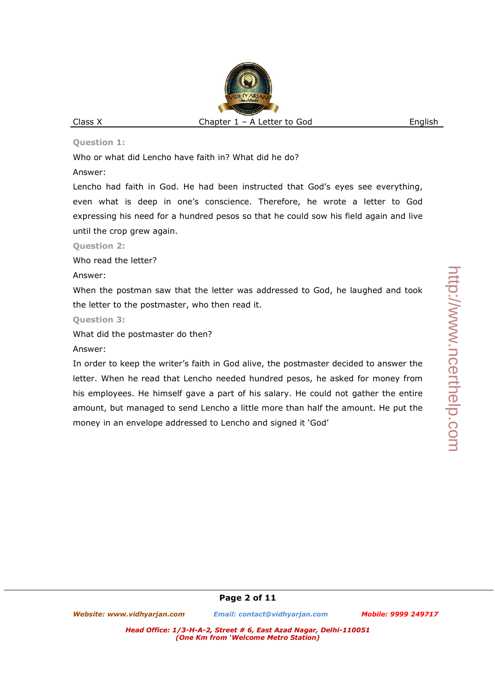Who or what did Lencho have faith in? What did he do?

Answer:

Lencho had faith in God. He had been instructed that God's eyes see everything, even what is deep in one's conscience. Therefore, he wrote a letter to God expressing his need for a hundred pesos so that he could sow his field again and live until the crop grew again.

**Question 2:** 

Who read the letter?

Answer:

When the postman saw that the letter was addressed to God, he laughed and took the letter to the postmaster, who then read it.

**Question 3:** 

What did the postmaster do then?

Answer:

In order to keep the writer's faith in God alive, the postmaster decided to answer the letter. When he read that Lencho needed hundred pesos, he asked for money from his employees. He himself gave a part of his salary. He could not gather the entire amount, but managed to send Lencho a little more than half the amount. He put the money in an envelope addressed to Lencho and signed it 'God'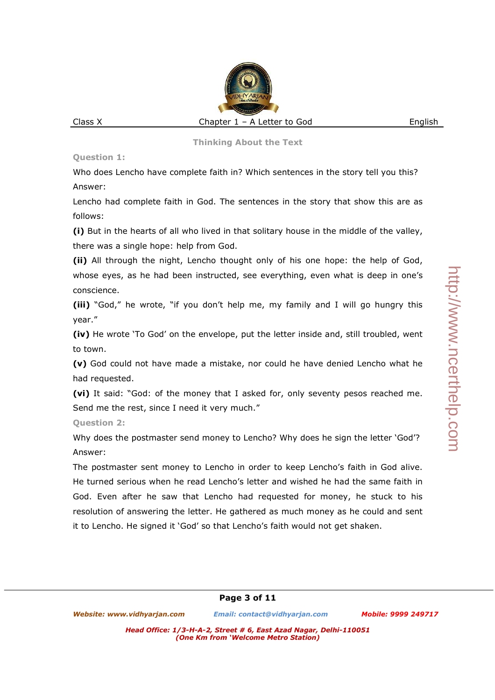Who does Lencho have complete faith in? Which sentences in the story tell you this? Answer:

Lencho had complete faith in God. The sentences in the story that show this are as follows:

**(i)** But in the hearts of all who lived in that solitary house in the middle of the valley, there was a single hope: help from God.

**(ii)** All through the night, Lencho thought only of his one hope: the help of God, whose eyes, as he had been instructed, see everything, even what is deep in one's conscience.

**(iii)** "God," he wrote, "if you don't help me, my family and I will go hungry this year."

**(iv)** He wrote 'To God' on the envelope, put the letter inside and, still troubled, went to town.

**(v)** God could not have made a mistake, nor could he have denied Lencho what he had requested.

**(vi)** It said: "God: of the money that I asked for, only seventy pesos reached me. Send me the rest, since I need it very much."

**Question 2:** 

Why does the postmaster send money to Lencho? Why does he sign the letter 'God'? Answer:

The postmaster sent money to Lencho in order to keep Lencho's faith in God alive. He turned serious when he read Lencho's letter and wished he had the same faith in God. Even after he saw that Lencho had requested for money, he stuck to his resolution of answering the letter. He gathered as much money as he could and sent it to Lencho. He signed it 'God' so that Lencho's faith would not get shaken.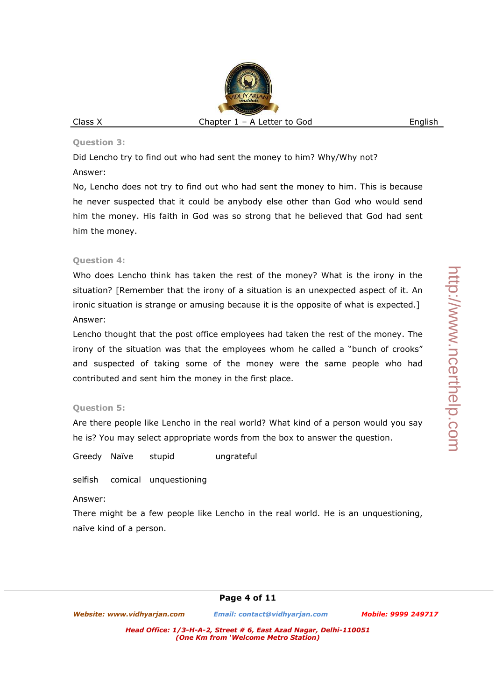Did Lencho try to find out who had sent the money to him? Why/Why not? Answer:

No, Lencho does not try to find out who had sent the money to him. This is because he never suspected that it could be anybody else other than God who would send him the money. His faith in God was so strong that he believed that God had sent him the money.

### **Question 4:**

Who does Lencho think has taken the rest of the money? What is the irony in the situation? [Remember that the irony of a situation is an unexpected aspect of it. An ironic situation is strange or amusing because it is the opposite of what is expected.] Answer:

Lencho thought that the post office employees had taken the rest of the money. The irony of the situation was that the employees whom he called a "bunch of crooks" and suspected of taking some of the money were the same people who had contributed and sent him the money in the first place.

### **Question 5:**

Are there people like Lencho in the real world? What kind of a person would you say he is? You may select appropriate words from the box to answer the question.

Greedy Naïve stupid ungrateful

selfish comical unquestioning

Answer:

There might be a few people like Lencho in the real world. He is an unquestioning, naïve kind of a person.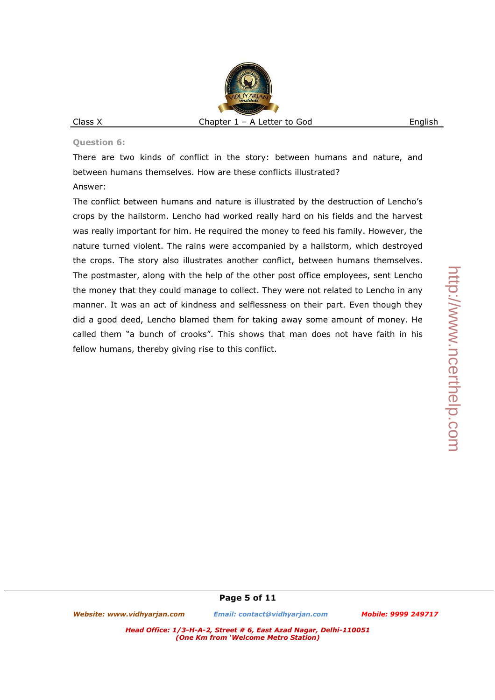There are two kinds of conflict in the story: between humans and nature, and between humans themselves. How are these conflicts illustrated?

#### Answer:

The conflict between humans and nature is illustrated by the destruction of Lencho's crops by the hailstorm. Lencho had worked really hard on his fields and the harvest was really important for him. He required the money to feed his family. However, the nature turned violent. The rains were accompanied by a hailstorm, which destroyed the crops. The story also illustrates another conflict, between humans themselves. The postmaster, along with the help of the other post office employees, sent Lencho the money that they could manage to collect. They were not related to Lencho in any manner. It was an act of kindness and selflessness on their part. Even though they did a good deed, Lencho blamed them for taking away some amount of money. He called them "a bunch of crooks". This shows that man does not have faith in his fellow humans, thereby giving rise to this conflict.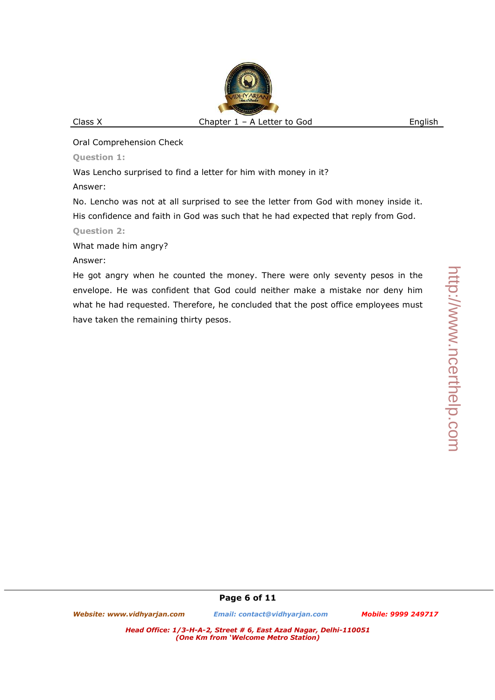http://www.ncerthelp.com http://www.ncerthelp.com

Oral Comprehension Check

**Question 1:** 

Was Lencho surprised to find a letter for him with money in it?

Answer:

No. Lencho was not at all surprised to see the letter from God with money inside it. His confidence and faith in God was such that he had expected that reply from God. **Question 2:** 

What made him angry?

Answer:

He got angry when he counted the money. There were only seventy pesos in the envelope. He was confident that God could neither make a mistake nor deny him what he had requested. Therefore, he concluded that the post office employees must have taken the remaining thirty pesos.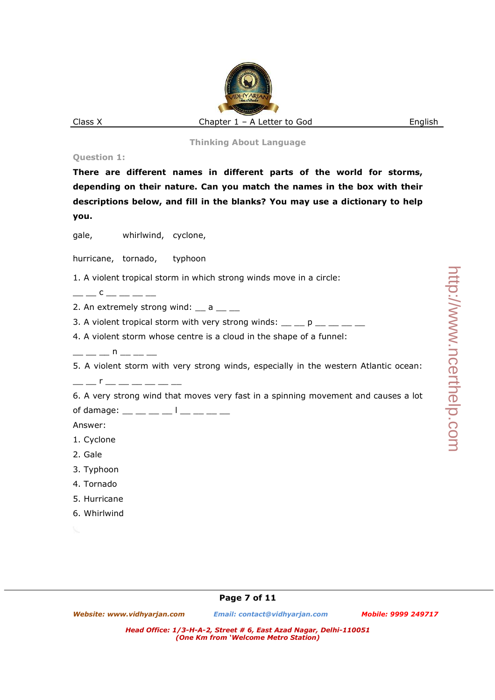**There are different names in different parts of the world for storms, depending on their nature. Can you match the names in the box with their descriptions below, and fill in the blanks? You may use a dictionary to help you.**

gale, whirlwind, cyclone,

hurricane, tornado, typhoon

1. A violent tropical storm in which strong winds move in a circle:

 $\overline{\mathbf{C}}$  and  $\overline{\mathbf{C}}$  and  $\overline{\mathbf{C}}$  and  $\overline{\mathbf{C}}$  and  $\overline{\mathbf{C}}$  and  $\overline{\mathbf{C}}$ 

2. An extremely strong wind:  $\_\,$  a  $\_\,$ 

3. A violent tropical storm with very strong winds:  $\_\_$   $\_\_$   $p\_\_$   $\_\_$ 

4. A violent storm whose centre is a cloud in the shape of a funnel:

 $\_\_$   $\_\_$   $\_\_$  n  $\_\_$   $\_\_$ 

5. A violent storm with very strong winds, especially in the western Atlantic ocean:  $\_$   $\_$  r  $\_$   $\_$   $\_$   $\_$   $\_$ 

6. A very strong wind that moves very fast in a spinning movement and causes a lot of damage:  $\frac{1}{2}$   $\frac{1}{2}$   $\frac{1}{2}$   $\frac{1}{2}$ 

Answer:

1. Cyclone

2. Gale

3. Typhoon

4. Tornado

5. Hurricane

6. Whirlwind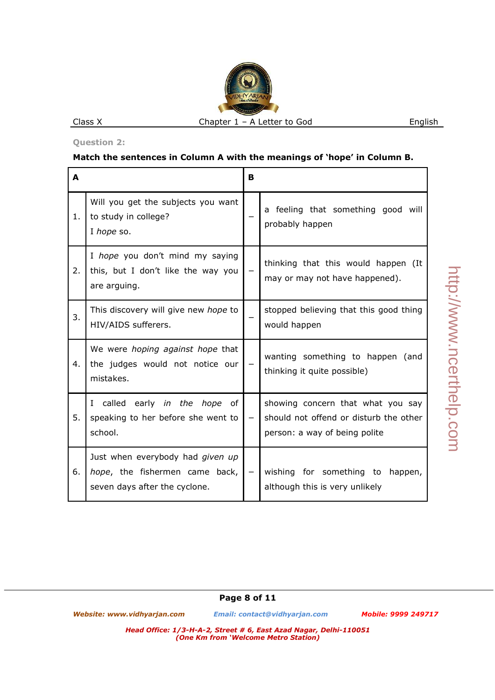## **Match the sentences in Column A with the meanings of 'hope' in Column B.**

| A  |                                                                                                     | в |                                                                                                              |
|----|-----------------------------------------------------------------------------------------------------|---|--------------------------------------------------------------------------------------------------------------|
| 1. | Will you get the subjects you want<br>to study in college?<br>I hope so.                            |   | feeling that something good will<br>a<br>probably happen                                                     |
| 2. | I hope you don't mind my saying<br>this, but I don't like the way you<br>are arguing.               |   | thinking that this would happen (It<br>may or may not have happened).                                        |
| 3. | This discovery will give new hope to<br>HIV/AIDS sufferers.                                         |   | stopped believing that this good thing<br>would happen                                                       |
| 4. | We were <i>hoping against hope</i> that<br>the judges would not notice our<br>mistakes.             |   | wanting something to happen (and<br>thinking it quite possible)                                              |
| 5. | I called<br>early <i>in the hope</i> of<br>speaking to her before she went to<br>school.            |   | showing concern that what you say<br>should not offend or disturb the other<br>person: a way of being polite |
| 6. | Just when everybody had given up<br>hope, the fishermen came back,<br>seven days after the cyclone. |   | wishing for something to<br>happen,<br>although this is very unlikely                                        |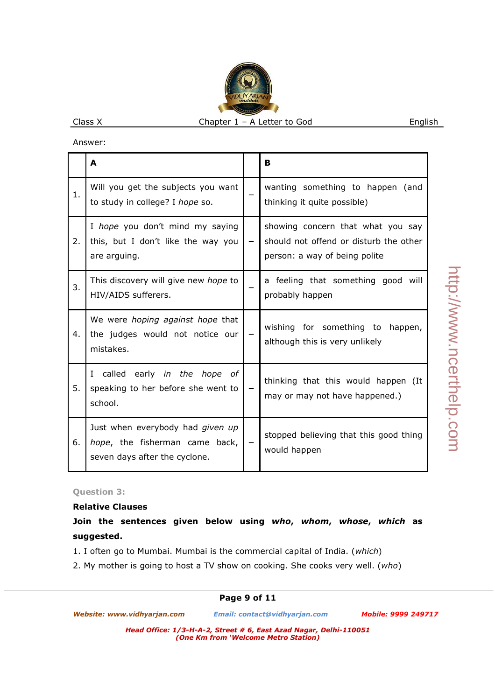Answer:

|    | A                                                                                                   |                 | в                                                                                                            |
|----|-----------------------------------------------------------------------------------------------------|-----------------|--------------------------------------------------------------------------------------------------------------|
| 1. | Will you get the subjects you want<br>to study in college? I hope so.                               |                 | wanting something to happen (and<br>thinking it quite possible)                                              |
| 2. | I hope you don't mind my saying<br>this, but I don't like the way you<br>are arguing.               | $\qquad \qquad$ | showing concern that what you say<br>should not offend or disturb the other<br>person: a way of being polite |
| 3. | This discovery will give new hope to<br>HIV/AIDS sufferers.                                         |                 | a feeling that something good will<br>probably happen                                                        |
| 4. | We were <i>hoping against hope</i> that<br>the judges would not notice our<br>mistakes.             |                 | wishing<br>for something to<br>happen,<br>although this is very unlikely                                     |
| 5. | I called<br>early in the hope<br>of<br>speaking to her before she went to<br>school.                |                 | thinking that this would happen (It<br>may or may not have happened.)                                        |
| 6. | Just when everybody had given up<br>hope, the fisherman came back,<br>seven days after the cyclone. |                 | stopped believing that this good thing<br>would happen                                                       |

## **Question 3:**

### **Relative Clauses**

# **Join the sentences given below using** *who***,** *whom***,** *whose***,** *which* **as suggested.**

- 1. I often go to Mumbai. Mumbai is the commercial capital of India. (*which*)
- 2. My mother is going to host a TV show on cooking. She cooks very well. (*who*)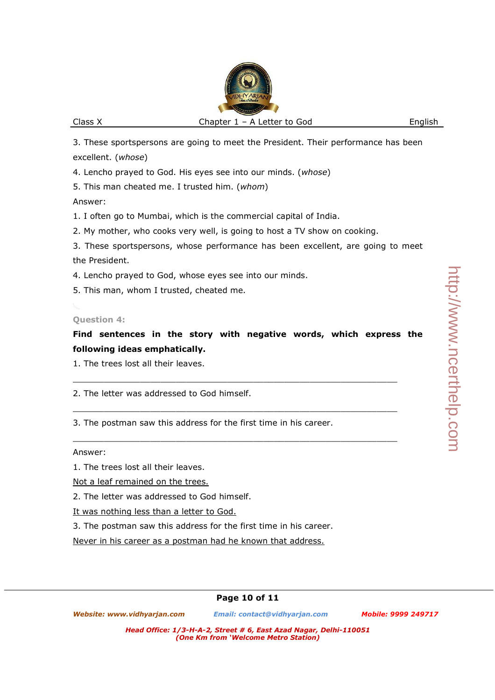3. These sportspersons are going to meet the President. Their performance has been excellent. (*whose*)

4. Lencho prayed to God. His eyes see into our minds. (*whose*)

5. This man cheated me. I trusted him. (*whom*)

Answer:

1. I often go to Mumbai, which is the commercial capital of India.

2. My mother, who cooks very well, is going to host a TV show on cooking.

3. These sportspersons, whose performance has been excellent, are going to meet the President.

4. Lencho prayed to God, whose eyes see into our minds.

5. This man, whom I trusted, cheated me.

**Question 4:** 

**Find sentences in the story with negative words, which express the following ideas emphatically.**

 $\Box$ 

 $\Box$ 

 $\Box$ 

1. The trees lost all their leaves.

2. The letter was addressed to God himself.

3. The postman saw this address for the first time in his career.

Answer:

1. The trees lost all their leaves.

Not a leaf remained on the trees.

2. The letter was addressed to God himself.

It was nothing less than a letter to God.

3. The postman saw this address for the first time in his career.

Never in his career as a postman had he known that address.